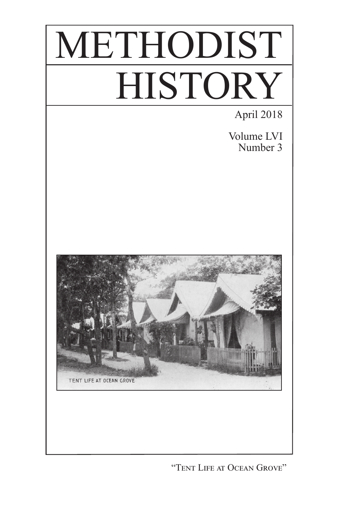

"Tent Life at Ocean Grove"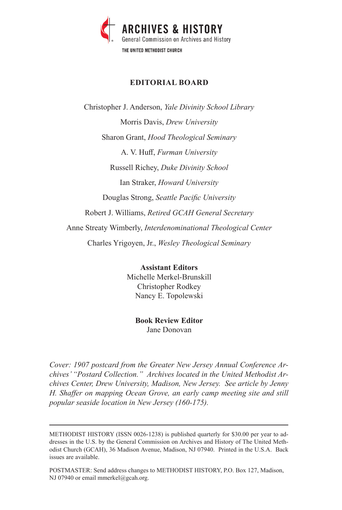

## **EDITORIAL BOARD**

Christopher J. Anderson, *Yale Divinity School Library* Morris Davis, *Drew University* Sharon Grant, *Hood Theological Seminary* A. V. Huff, *Furman University* Russell Richey, *Duke Divinity School* Ian Straker, *Howard University* Douglas Strong, *Seattle Pacific University* Robert J. Williams, *Retired GCAH General Secretary* Anne Streaty Wimberly, *Interdenominational Theological Center* Charles Yrigoyen, Jr., *Wesley Theological Seminary*

> **Assistant Editors** Michelle Merkel-Brunskill Christopher Rodkey Nancy E. Topolewski

### **Book Review Editor** Jane Donovan

*Cover: 1907 postcard from the Greater New Jersey Annual Conference Archives' "Postard Collection." Archives located in the United Methodist Archives Center, Drew University, Madison, New Jersey. See article by Jenny H. Shaffer on mapping Ocean Grove, an early camp meeting site and still popular seaside location in New Jersey (160-175).*

POSTMASTER: Send address changes to METHODIST HISTORY, P.O. Box 127, Madison, NJ 07940 or email mmerkel@gcah.org.

METHODIST HISTORY (ISSN 0026-1238) is published quarterly for \$30.00 per year to addresses in the U.S. by the General Commission on Archives and History of The United Methodist Church (GCAH), 36 Madison Avenue, Madison, NJ 07940. Printed in the U.S.A. Back issues are available.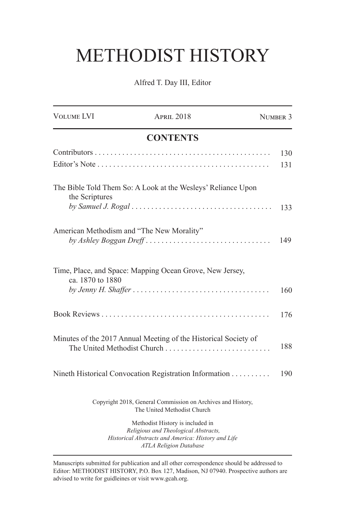# METHODIST HISTORY

Alfred T. Day III, Editor

| <b>VOLUME LVI</b>                         | <b>APRIL 2018</b>                                                                                                                                               | NUMBER <sub>3</sub> |
|-------------------------------------------|-----------------------------------------------------------------------------------------------------------------------------------------------------------------|---------------------|
| <b>CONTENTS</b>                           |                                                                                                                                                                 |                     |
|                                           |                                                                                                                                                                 | 130<br>131          |
| the Scriptures                            | The Bible Told Them So: A Look at the Wesleys' Reliance Upon                                                                                                    | 133                 |
| American Methodism and "The New Morality" | by Ashley Boggan Dreff                                                                                                                                          | 149                 |
| ca. 1870 to 1880                          | Time, Place, and Space: Mapping Ocean Grove, New Jersey,                                                                                                        | 160                 |
|                                           |                                                                                                                                                                 | 176                 |
|                                           | Minutes of the 2017 Annual Meeting of the Historical Society of<br>The United Methodist Church                                                                  | 188                 |
|                                           | Nineth Historical Convocation Registration Information                                                                                                          | 190                 |
|                                           | Copyright 2018, General Commission on Archives and History,<br>The United Methodist Church                                                                      |                     |
|                                           | Methodist History is included in<br>Religious and Theological Abstracts,<br>Historical Abstracts and America: History and Life<br><b>ATLA Religion Database</b> |                     |

Manuscripts submitted for publication and all other correspondence should be addressed to Editor: METHODIST HISTORY, P.O. Box 127, Madison, NJ 07940. Prospective authors are advised to write for guidleines or visit www.gcah.org.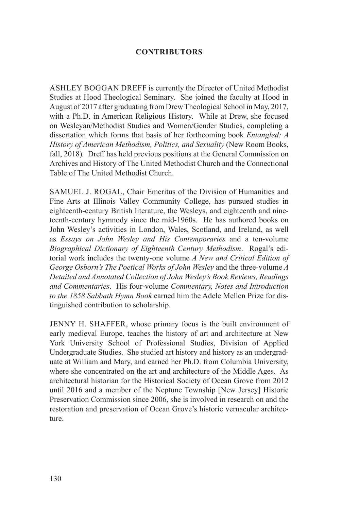### **Contributors**

ASHLEY BOGGAN DREFF is currently the Director of United Methodist Studies at Hood Theological Seminary. She joined the faculty at Hood in August of 2017 after graduating from Drew Theological School in May, 2017, with a Ph.D. in American Religious History. While at Drew, she focused on Wesleyan/Methodist Studies and Women/Gender Studies, completing a dissertation which forms that basis of her forthcoming book *Entangled: A History of American Methodism, Politics, and Sexuality* (New Room Books, fall, 2018)*.* Dreff has held previous positions at the General Commission on Archives and History of The United Methodist Church and the Connectional Table of The United Methodist Church.

SAMUEL J. ROGAL, Chair Emeritus of the Division of Humanities and Fine Arts at Illinois Valley Community College, has pursued studies in eighteenth-century British literature, the Wesleys, and eighteenth and nineteenth-century hymnody since the mid-1960s. He has authored books on John Wesley's activities in London, Wales, Scotland, and Ireland, as well as *Essays on John Wesley and His Contemporaries* and a ten-volume *Biographical Dictionary of Eighteenth Century Methodism*. Rogal's editorial work includes the twenty-one volume *A New and Critical Edition of George Osborn's The Poetical Works of John Wesley* and the three-volume *A Detailed and Annotated Collection of John Wesley's Book Reviews, Readings and Commentaries*. His four-volume *Commentary, Notes and Introduction to the 1858 Sabbath Hymn Book* earned him the Adele Mellen Prize for distinguished contribution to scholarship.

JENNY H. SHAFFER, whose primary focus is the built environment of early medieval Europe, teaches the history of art and architecture at New York University School of Professional Studies, Division of Applied Undergraduate Studies. She studied art history and history as an undergraduate at William and Mary, and earned her Ph.D. from Columbia University, where she concentrated on the art and architecture of the Middle Ages. As architectural historian for the Historical Society of Ocean Grove from 2012 until 2016 and a member of the Neptune Township [New Jersey] Historic Preservation Commission since 2006, she is involved in research on and the restoration and preservation of Ocean Grove's historic vernacular architecture.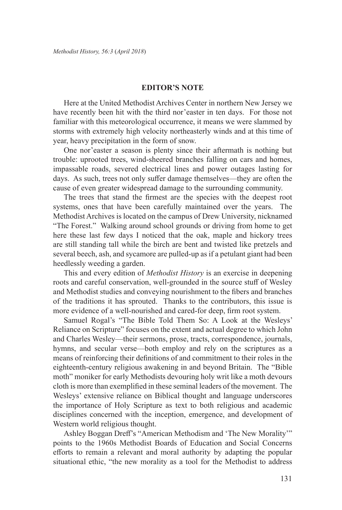#### **EDITOR'S NOTE**

Here at the United Methodist Archives Center in northern New Jersey we have recently been hit with the third nor'easter in ten days. For those not familiar with this meteorological occurrence, it means we were slammed by storms with extremely high velocity northeasterly winds and at this time of year, heavy precipitation in the form of snow.

One nor'easter a season is plenty since their aftermath is nothing but trouble: uprooted trees, wind-sheered branches falling on cars and homes, impassable roads, severed electrical lines and power outages lasting for days. As such, trees not only suffer damage themselves—they are often the cause of even greater widespread damage to the surrounding community.

The trees that stand the firmest are the species with the deepest root systems, ones that have been carefully maintained over the years. The Methodist Archives is located on the campus of Drew University, nicknamed "The Forest." Walking around school grounds or driving from home to get here these last few days I noticed that the oak, maple and hickory trees are still standing tall while the birch are bent and twisted like pretzels and several beech, ash, and sycamore are pulled-up as if a petulant giant had been heedlessly weeding a garden.

This and every edition of *Methodist History* is an exercise in deepening roots and careful conservation, well-grounded in the source stuff of Wesley and Methodist studies and conveying nourishment to the fibers and branches of the traditions it has sprouted. Thanks to the contributors, this issue is more evidence of a well-nourished and cared-for deep, firm root system.

Samuel Rogal's "The Bible Told Them So: A Look at the Wesleys' Reliance on Scripture" focuses on the extent and actual degree to which John and Charles Wesley—their sermons, prose, tracts, correspondence, journals, hymns, and secular verse—both employ and rely on the scriptures as a means of reinforcing their definitions of and commitment to their roles in the eighteenth-century religious awakening in and beyond Britain. The "Bible moth" moniker for early Methodists devouring holy writ like a moth devours cloth is more than exemplified in these seminal leaders of the movement. The Wesleys' extensive reliance on Biblical thought and language underscores the importance of Holy Scripture as text to both religious and academic disciplines concerned with the inception, emergence, and development of Western world religious thought.

Ashley Boggan Dreff's "American Methodism and 'The New Morality'" points to the 1960s Methodist Boards of Education and Social Concerns efforts to remain a relevant and moral authority by adapting the popular situational ethic, "the new morality as a tool for the Methodist to address